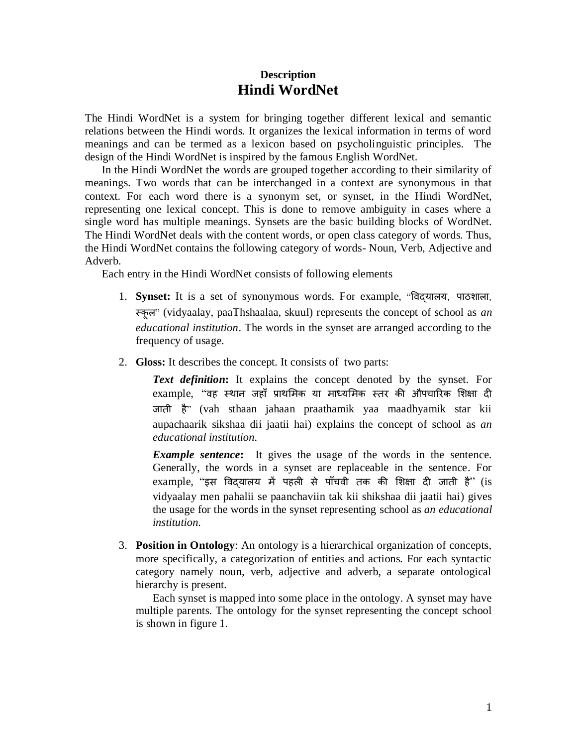# **Description Hindi WordNet**

The Hindi WordNet is a system for bringing together different lexical and semantic relations between the Hindi words. It organizes the lexical information in terms of word meanings and can be termed as a lexicon based on psycholinguistic principles. The design of the Hindi WordNet is inspired by the famous English WordNet.

In the Hindi WordNet the words are grouped together according to their similarity of meanings. Two words that can be interchanged in a context are synonymous in that context. For each word there is a synonym set, or synset, in the Hindi WordNet, representing one lexical concept. This is done to remove ambiguity in cases where a single word has multiple meanings. Synsets are the basic building blocks of WordNet. The Hindi WordNet deals with the content words, or open class category of words. Thus, the Hindi WordNet contains the following category of words- Noun, Verb, Adjective and Adverb.

Each entry in the Hindi WordNet consists of following elements

- 1. **Synset:** It is a set of synonymous words. For example, "विद्यालय, पाठशाला, स्कूल" (vidyaalay, paaThshaalaa, skuul) represents the concept of school as *an educational institution*. The words in the synset are arranged according to the frequency of usage.
- 2. **Gloss:** It describes the concept. It consists of two parts:

*Text definition***:** It explains the concept denoted by the synset. For example, "वह स्थान जहाँ प्राथमिक या माध्यमिक स्तर की औपचारिक शिक्षा दी जाती है" (vah sthaan jahaan praathamik yaa maadhyamik star kii aupachaarik sikshaa dii jaatii hai) explains the concept of school as *an educational institution.*

**Example sentence:** It gives the usage of the words in the sentence. Generally, the words in a synset are replaceable in the sentence. For example, "इस विदयालय में पहली से पाँचवी तक की शिक्षा दी जाती है" (is vidyaalay men pahalii se paanchaviin tak kii shikshaa dii jaatii hai) gives the usage for the words in the synset representing school as *an educational institution.*

3. **Position in Ontology**: An ontology is a hierarchical organization of concepts, more specifically, a categorization of entities and actions. For each syntactic category namely noun, verb, adjective and adverb, a separate ontological hierarchy is present.

Each synset is mapped into some place in the ontology. A synset may have multiple parents. The ontology for the synset representing the concept school is shown in figure 1.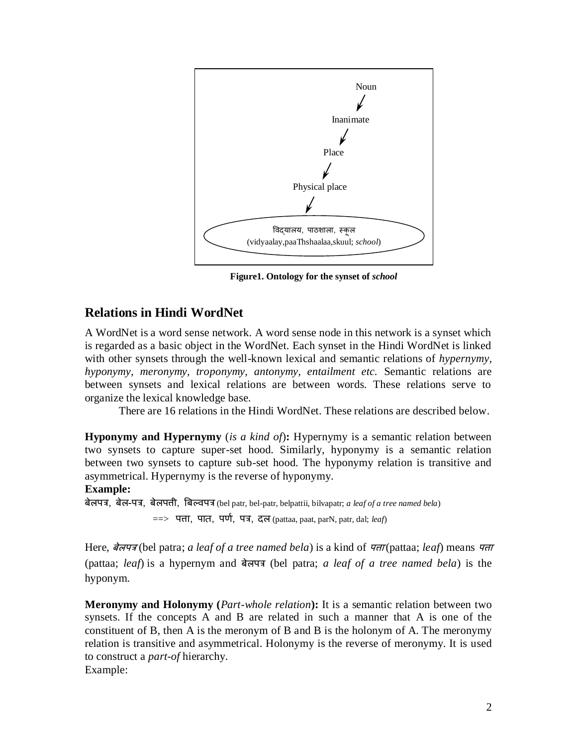

**Figure1. Ontology for the synset of** *school*

# **Relations in Hindi WordNet**

A WordNet is a word sense network. A word sense node in this network is a synset which is regarded as a basic object in the WordNet. Each synset in the Hindi WordNet is linked with other synsets through the well-known lexical and semantic relations of *hypernymy, hyponymy, meronymy, troponymy, antonymy, entailment etc.* Semantic relations are between synsets and lexical relations are between words. These relations serve to organize the lexical knowledge base.

There are 16 relations in the Hindi WordNet. These relations are described below.

**Hyponymy and Hypernymy** (*is a kind of*)**:** Hypernymy is a semantic relation between two synsets to capture super-set hood. Similarly, hyponymy is a semantic relation between two synsets to capture sub-set hood. The hyponymy relation is transitive and asymmetrical. Hypernymy is the reverse of hyponymy.

#### **Example:**

बेलपत्र, बेल-पत्र, बेलपत्ती, बबल्िपत्र (bel patr, bel-patr, belpattii, bilvapatr; *a leaf of a tree named bela*) ==> पत्ता, पात, पर्ण, पत्र, दल (pattaa, paat, parN, patr, dal; *leaf*)

Here, बेलपत्र (bel patra; *a leaf of a tree named bela*) is a kind of पत्ता (pattaa; *leaf*) means पत्ता (pattaa; *leaf*) is a hypernym and बेलपत्र (bel patra; *a leaf of a tree named bela*) is the hyponym.

**Meronymy and Holonymy (***Part-whole relation***):** It is a semantic relation between two synsets. If the concepts A and B are related in such a manner that A is one of the constituent of B, then A is the meronym of B and B is the holonym of A. The meronymy relation is transitive and asymmetrical. Holonymy is the reverse of meronymy. It is used to construct a *part-of* hierarchy. Example: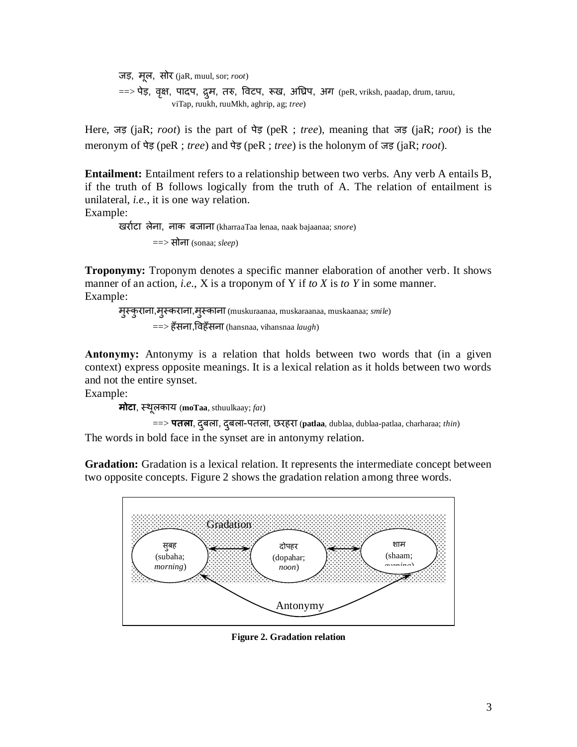जड़, िूल, सोर (jaR, muul, sor; *root*)  $\Rightarrow$  पेड़, वृक्ष, पादप, द्रुम, तरु, विटप, रूख, अघ्रिप, अग (peR, vriksh, paadap, drum, taruu, viTap, ruukh, ruuMkh, aghrip, ag; *tree*)

Here, जड़ (jaR; *root*) is the part of पेड़ (peR ; *tree*), meaning that जड़ (jaR; *root*) is the meronym of पेड़ (peR ; *tree*) and पेड़ (peR ; *tree*) is the holonym of जड़ (jaR; *root*).

**Entailment:** Entailment refers to a relationship between two verbs. Any verb A entails B, if the truth of B follows logically from the truth of A. The relation of entailment is unilateral, *i.e.*, it is one way relation.

Example:

खराणटा लेना, नाक बजाना (kharraaTaa lenaa, naak bajaanaa; *snore*) ==> सोना (sonaa; *sleep*)

**Troponymy:** Troponym denotes a specific manner elaboration of another verb. It shows manner of an action, *i.e.*, X is a troponym of Y if *to X* is *to Y* in some manner. Example:

िुस्कुराना,िुस्कराना,िुस्काना (muskuraanaa, muskaraanaa, muskaanaa; *smile*) ==> हाँसना,विहाँसना (hansnaa, vihansnaa *laugh*)

**Antonymy:** Antonymy is a relation that holds between two words that (in a given context) express opposite meanings. It is a lexical relation as it holds between two words and not the entire synset.

Example:

**मोटा**, स्थूलकाय (**moTaa**, sthuulkaay; *fat*)

==> **पतला**, दबुला, दबुला-पतला, छरहरा (**patlaa**, dublaa, dublaa-patlaa, charharaa; *thin*) The words in bold face in the synset are in antonymy relation.

**Gradation:** Gradation is a lexical relation. It represents the intermediate concept between two opposite concepts. Figure 2 shows the gradation relation among three words.



**Figure 2. Gradation relation**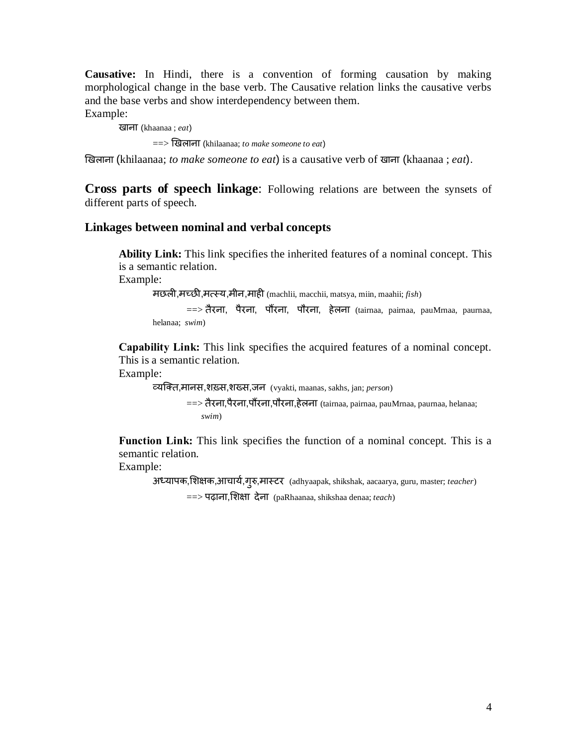**Causative:** In Hindi, there is a convention of forming causation by making morphological change in the base verb. The Causative relation links the causative verbs and the base verbs and show interdependency between them. Example:

खाना (khaanaa ; *eat*)

==> खखलाना (khilaanaa; *to make someone to eat*)

खखलाना (khilaanaa; *to make someone to eat*) is a causative verb of खाना (khaanaa ; *eat*).

**Cross parts of speech linkage**: Following relations are between the synsets of different parts of speech.

#### **Linkages between nominal and verbal concepts**

**Ability Link:** This link specifies the inherited features of a nominal concept. This is a semantic relation.

Example:

िछली,िच्छी,ित्सस्य,िीन,िाही (machlii, macchii, matsya, miin, maahii; *fish*)

==> तैरना, पैरना, पौंरना, पौरना, हेलना (tairnaa, pairnaa, pauMrnaa, paurnaa, helanaa; *swim*)

**Capability Link:** This link specifies the acquired features of a nominal concept. This is a semantic relation.

Example:

व्यक्तत,िानस,शख़्स,शख्स,जन (vyakti, maanas, sakhs, jan; *person*)

==> तैरना,पैरना,पौंरना,पौरना,हेलना (tairnaa, pairnaa, pauMrnaa, paurnaa, helanaa;  *swim*)

**Function Link:** This link specifies the function of a nominal concept. This is a semantic relation.

Example:

अध्यापक,शिक्षक,आचार्य,गुरु,मास्टर (adhyaapak, shikshak, aacaarya, guru, master; *teacher*)

==> पढाना,मशक्षा देना (paRhaanaa, shikshaa denaa; *teach*)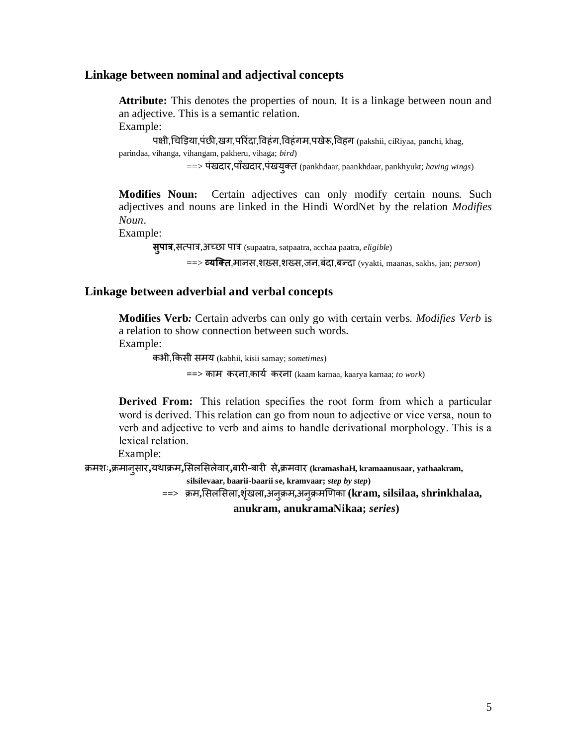#### **Linkage between nominal and adjectival concepts**

**Attribute:** This denotes the properties of noun. It is a linkage between noun and an adjective. This is a semantic relation. Example:

पक्षी,चचडड़या,पंछी,खग,पररंदा,विहंग,विहंगि,पखेरू,विहग (pakshii, ciRiyaa, panchi, khag, parindaa, vihanga, vihangam, pakheru, vihaga; *bird*)

==> पंखदार,पााँखदार,पंखयुतत (pankhdaar, paankhdaar, pankhyukt; *having wings*)

**Modifies Noun:** Certain adjectives can only modify certain nouns. Such adjectives and nouns are linked in the Hindi WordNet by the relation *Modifies Noun*.

Example:

**सुपात्र**,सत्सपात्र,अच्छा पात्र (supaatra, satpaatra, acchaa paatra, *eligible*)

==> **व्यक्तत**,िानस,शख़्स,शख्स,जन,बंदा,बन्दा (vyakti, maanas, sakhs, jan; *person*)

## **Linkage between adverbial and verbal concepts**

**Modifies Verb***:* Certain adverbs can only go with certain verbs. *Modifies Verb* is a relation to show connection between such words. Example:

कभी,ककसी सिय (kabhii, kisii samay; *sometimes*)

**==>** काि करना,कायण करना (kaam karnaa, kaarya karnaa; *to work*)

**Derived From:** This relation specifies the root form from which a particular word is derived. This relation can go from noun to adjective or vice versa, noun to verb and adjective to verb and aims to handle derivational morphology. This is a lexical relation.

Example:

क्रिशः**,**क्रिानुसार**,**यथाक्रि**,**मसलमसलेिार**,**बारी-बारी से**,**क्रििार **(kramashaH, kramaanusaar, yathaakram,**

**silsilevaar, baarii-baarii se, kramvaar;** *step by step***)** 

**==>** क्रि**,**मसलमसला**,**शंखृ ला**,**अनुक्रि**,**अनुक्रिखर्का **(kram, silsilaa, shrinkhalaa,** 

**anukram, anukramaNikaa;** *series***)**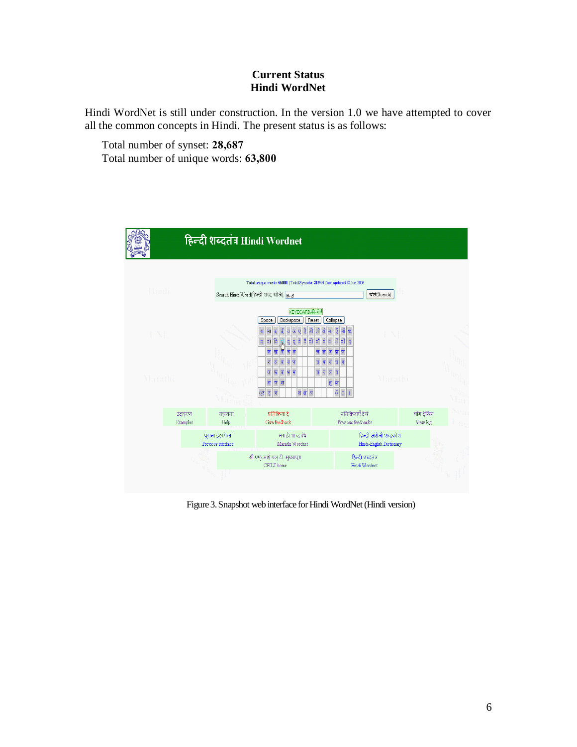### **Current Status Hindi WordNet**

Hindi WordNet is still under construction. In the version 1.0 we have attempted to cover all the common concepts in Hindi. The present status is as follows:

Total number of synset: **28,687** Total number of unique words: **63,800**



Figure 3. Snapshot web interface for Hindi WordNet(Hindi version)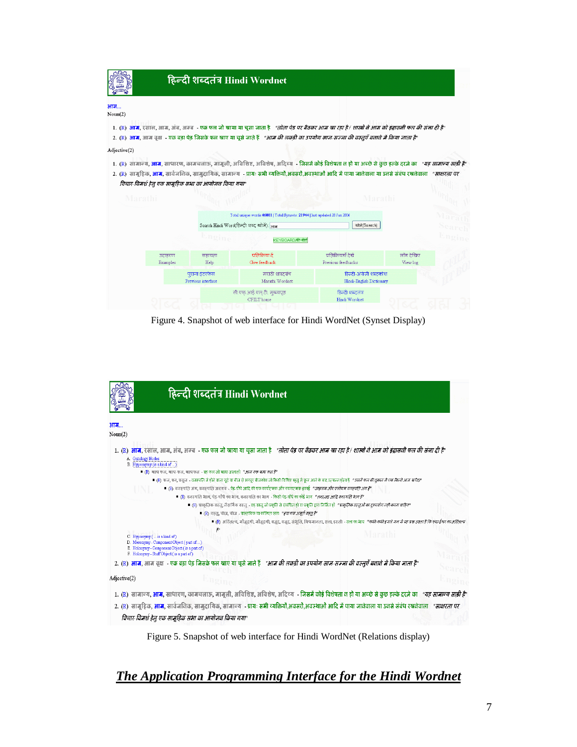|               |                    |                                                                                                                                                                                                                                                                                                                                                                                            | हिन्दी शब्दतंत्र Hindi Wordnet                                                           |                                                                                                                                                                                                                                                                                                                        |                       |       |  |
|---------------|--------------------|--------------------------------------------------------------------------------------------------------------------------------------------------------------------------------------------------------------------------------------------------------------------------------------------------------------------------------------------------------------------------------------------|------------------------------------------------------------------------------------------|------------------------------------------------------------------------------------------------------------------------------------------------------------------------------------------------------------------------------------------------------------------------------------------------------------------------|-----------------------|-------|--|
| आम<br>Noun(2) |                    |                                                                                                                                                                                                                                                                                                                                                                                            |                                                                                          |                                                                                                                                                                                                                                                                                                                        |                       |       |  |
|               |                    |                                                                                                                                                                                                                                                                                                                                                                                            |                                                                                          | 1. (R) <b>आम,</b> रसाल, आम, अंब, अम्ब - एक फल जो खाया या चूसा जाता है <i>. "तोता पेड पर बैठकर आम खा रहा है/ शास्त्रों वे आम को इंद्रासनी फल की संना दी है"</i><br>2. (R) <b>आम</b> , आम वृक्ष    एक बड़ा पेड़ जिसके फल खाए या चूसे जाते हैं <i>"आम की लकड़ी का उपयोग साज-सज्जा की वस्तुएँ बताते में किया जाता है</i> " |                       |       |  |
| Adjective(2)  |                    |                                                                                                                                                                                                                                                                                                                                                                                            |                                                                                          |                                                                                                                                                                                                                                                                                                                        |                       |       |  |
| Marathi       |                    | 1. (R)  सामान्य, <b>आम,</b> साधारण, कामचलाऊ, मामूली, अविशिष्ट, अविशेष, अदिव्य - जिसमें कोई विशेषता न हो या अच्छे से कुछ हल्के दरजे का <i>"यह सामान्य साडी है</i> "<br>2. (R)  सामूहिक, <b>आम</b> , सार्वजनिक, सामूदायिक, सामान्य  - प्रायः सभी व्यक्तियों,अतर-शाओं आदि में पाया जानेवाला या उनसे संबंध रखनेवाला <i>"साक्षरता पर</i><br>विचार-विमर्श हेतु एक सामुहिक सभा का आयोजन किया गया" |                                                                                          |                                                                                                                                                                                                                                                                                                                        |                       |       |  |
|               |                    | Total unique words:46001   Total Synsets: 21944   last updated 28 Jun 2006<br><b>Marat</b>                                                                                                                                                                                                                                                                                                 |                                                                                          |                                                                                                                                                                                                                                                                                                                        |                       |       |  |
|               |                    |                                                                                                                                                                                                                                                                                                                                                                                            | Search Hindi Word(हिन्दी शब्द खोजे): <sub>भाम</sub>                                      | ग्रोज़े(Search)                                                                                                                                                                                                                                                                                                        |                       |       |  |
|               |                    | Engine                                                                                                                                                                                                                                                                                                                                                                                     | KEYBOARD/की-बोर्ड                                                                        |                                                                                                                                                                                                                                                                                                                        |                       | mgine |  |
|               | उदाहरण<br>Examples | सहायता<br>Help                                                                                                                                                                                                                                                                                                                                                                             | प्रतिक्रिया दें<br>Give feedback.                                                        | प्रतिक्रियाएँ देखें<br>Previous feedbacks                                                                                                                                                                                                                                                                              | लॉग देखिए<br>View log |       |  |
|               |                    | पुराना इंटरफेस<br>Previous interface                                                                                                                                                                                                                                                                                                                                                       | मराठी शाब्दबंध<br>हिल्दी-अंग्रेजी शब्दकोश<br>Marathi Wordnet<br>Hindi-English Dictionary |                                                                                                                                                                                                                                                                                                                        |                       |       |  |
|               |                    |                                                                                                                                                                                                                                                                                                                                                                                            | सी.एफ.आई.एल.टी. मुख्यपृष्ठ<br>CFILT home                                                 | हिन्दी शब्दलंत्र<br>Hindi Wordnet                                                                                                                                                                                                                                                                                      |                       |       |  |

Figure 4. Snapshot of web interface for Hindi WordNet (Synset Display)



Figure 5. Snapshot of web interface for Hindi WordNet (Relations display)

# *The Application Programming Interface for the Hindi Wordnet*